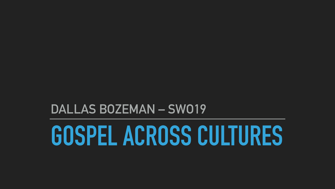# DALLAS BOZEMAN - SWO19 GOSPEL ACROSS CULTURES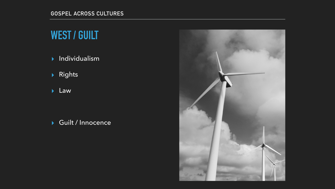### **WEST / GUILT**

▸ Individualism

▸ Rights

▸ Law

▸ Guilt / Innocence

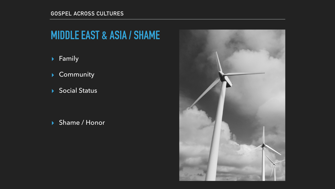#### **GOSPEL ACROSS CULTURES**

### **MIDDLE EAST & ASIA / SHAME**

▸ Family

▸ Community

▸ Social Status





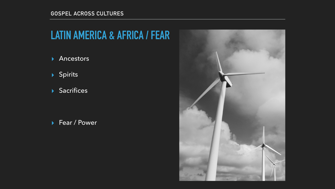#### **GOSPEL ACROSS CULTURES**

# **LATIN AMERICA & AFRICA / FEAR**

▸ Ancestors

▸ Spirits

▸ Sacrifices

▸ Fear / Power

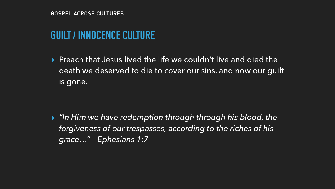# **GUILT / INNOCENCE CULTURE**

▸ Preach that Jesus lived the life we couldn't live and died the death we deserved to die to cover our sins, and now our guilt is gone.

▸ *"In Him we have redemption through through his blood, the forgiveness of our trespasses, according to the riches of his grace…" – Ephesians 1:7*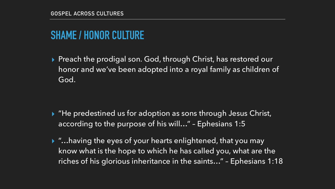# **SHAME / HONOR CULTURE**

▸ Preach the prodigal son. God, through Christ, has restored our honor and we've been adopted into a royal family as children of

God.

▸ "He predestined us for adoption as sons through Jesus Christ,

- according to the purpose of his will…" Ephesians 1:5
- 

▸ "…having the eyes of your hearts enlightened, that you may know what is the hope to which he has called you, what are the riches of his glorious inheritance in the saints…" – Ephesians 1:18